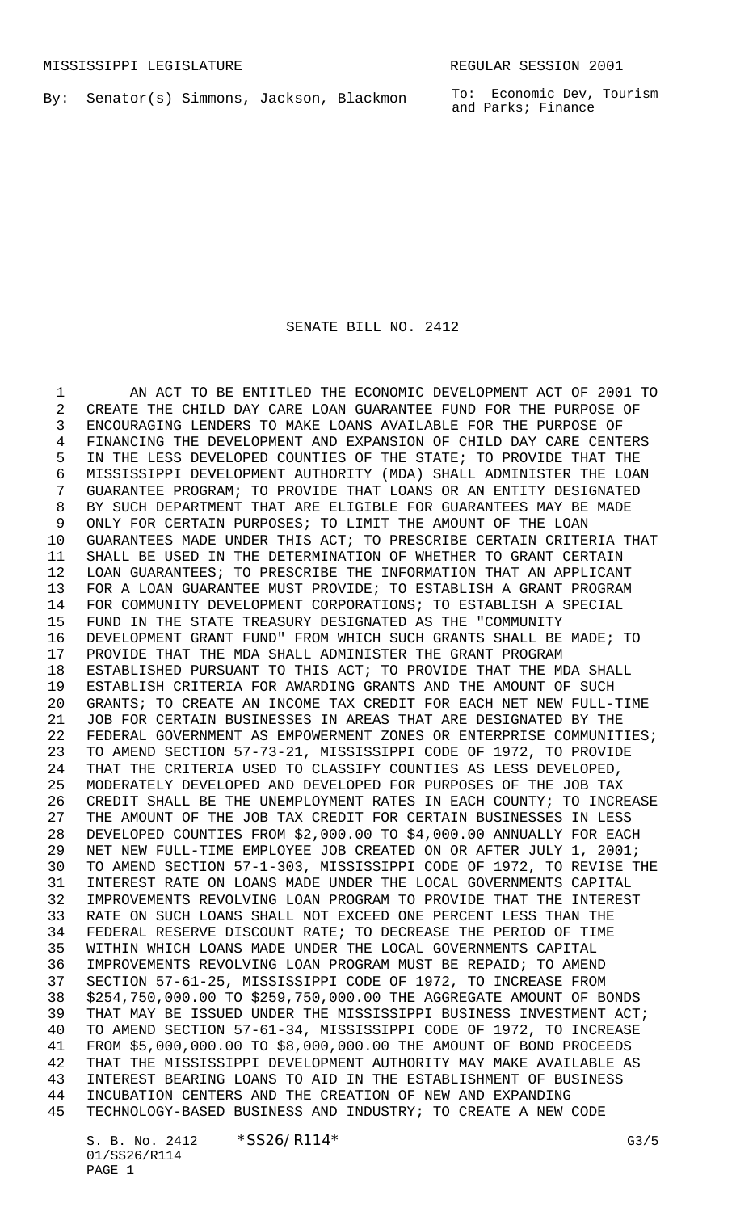By: Senator(s) Simmons, Jackson, Blackmon

To: Economic Dev, Tourism and Parks; Finance

## SENATE BILL NO. 2412

 AN ACT TO BE ENTITLED THE ECONOMIC DEVELOPMENT ACT OF 2001 TO CREATE THE CHILD DAY CARE LOAN GUARANTEE FUND FOR THE PURPOSE OF ENCOURAGING LENDERS TO MAKE LOANS AVAILABLE FOR THE PURPOSE OF FINANCING THE DEVELOPMENT AND EXPANSION OF CHILD DAY CARE CENTERS IN THE LESS DEVELOPED COUNTIES OF THE STATE; TO PROVIDE THAT THE MISSISSIPPI DEVELOPMENT AUTHORITY (MDA) SHALL ADMINISTER THE LOAN GUARANTEE PROGRAM; TO PROVIDE THAT LOANS OR AN ENTITY DESIGNATED BY SUCH DEPARTMENT THAT ARE ELIGIBLE FOR GUARANTEES MAY BE MADE ONLY FOR CERTAIN PURPOSES; TO LIMIT THE AMOUNT OF THE LOAN GUARANTEES MADE UNDER THIS ACT; TO PRESCRIBE CERTAIN CRITERIA THAT SHALL BE USED IN THE DETERMINATION OF WHETHER TO GRANT CERTAIN LOAN GUARANTEES; TO PRESCRIBE THE INFORMATION THAT AN APPLICANT FOR A LOAN GUARANTEE MUST PROVIDE; TO ESTABLISH A GRANT PROGRAM FOR COMMUNITY DEVELOPMENT CORPORATIONS; TO ESTABLISH A SPECIAL FUND IN THE STATE TREASURY DESIGNATED AS THE "COMMUNITY DEVELOPMENT GRANT FUND" FROM WHICH SUCH GRANTS SHALL BE MADE; TO PROVIDE THAT THE MDA SHALL ADMINISTER THE GRANT PROGRAM ESTABLISHED PURSUANT TO THIS ACT; TO PROVIDE THAT THE MDA SHALL ESTABLISH CRITERIA FOR AWARDING GRANTS AND THE AMOUNT OF SUCH GRANTS; TO CREATE AN INCOME TAX CREDIT FOR EACH NET NEW FULL-TIME JOB FOR CERTAIN BUSINESSES IN AREAS THAT ARE DESIGNATED BY THE FEDERAL GOVERNMENT AS EMPOWERMENT ZONES OR ENTERPRISE COMMUNITIES; TO AMEND SECTION 57-73-21, MISSISSIPPI CODE OF 1972, TO PROVIDE THAT THE CRITERIA USED TO CLASSIFY COUNTIES AS LESS DEVELOPED, MODERATELY DEVELOPED AND DEVELOPED FOR PURPOSES OF THE JOB TAX CREDIT SHALL BE THE UNEMPLOYMENT RATES IN EACH COUNTY; TO INCREASE THE AMOUNT OF THE JOB TAX CREDIT FOR CERTAIN BUSINESSES IN LESS DEVELOPED COUNTIES FROM \$2,000.00 TO \$4,000.00 ANNUALLY FOR EACH NET NEW FULL-TIME EMPLOYEE JOB CREATED ON OR AFTER JULY 1, 2001; TO AMEND SECTION 57-1-303, MISSISSIPPI CODE OF 1972, TO REVISE THE INTEREST RATE ON LOANS MADE UNDER THE LOCAL GOVERNMENTS CAPITAL IMPROVEMENTS REVOLVING LOAN PROGRAM TO PROVIDE THAT THE INTEREST RATE ON SUCH LOANS SHALL NOT EXCEED ONE PERCENT LESS THAN THE FEDERAL RESERVE DISCOUNT RATE; TO DECREASE THE PERIOD OF TIME WITHIN WHICH LOANS MADE UNDER THE LOCAL GOVERNMENTS CAPITAL IMPROVEMENTS REVOLVING LOAN PROGRAM MUST BE REPAID; TO AMEND SECTION 57-61-25, MISSISSIPPI CODE OF 1972, TO INCREASE FROM \$254,750,000.00 TO \$259,750,000.00 THE AGGREGATE AMOUNT OF BONDS THAT MAY BE ISSUED UNDER THE MISSISSIPPI BUSINESS INVESTMENT ACT; TO AMEND SECTION 57-61-34, MISSISSIPPI CODE OF 1972, TO INCREASE FROM \$5,000,000.00 TO \$8,000,000.00 THE AMOUNT OF BOND PROCEEDS THAT THE MISSISSIPPI DEVELOPMENT AUTHORITY MAY MAKE AVAILABLE AS INTEREST BEARING LOANS TO AID IN THE ESTABLISHMENT OF BUSINESS INCUBATION CENTERS AND THE CREATION OF NEW AND EXPANDING TECHNOLOGY-BASED BUSINESS AND INDUSTRY; TO CREATE A NEW CODE

S. B. No. 2412 \* SS26/R114\* G3/5 01/SS26/R114 PAGE 1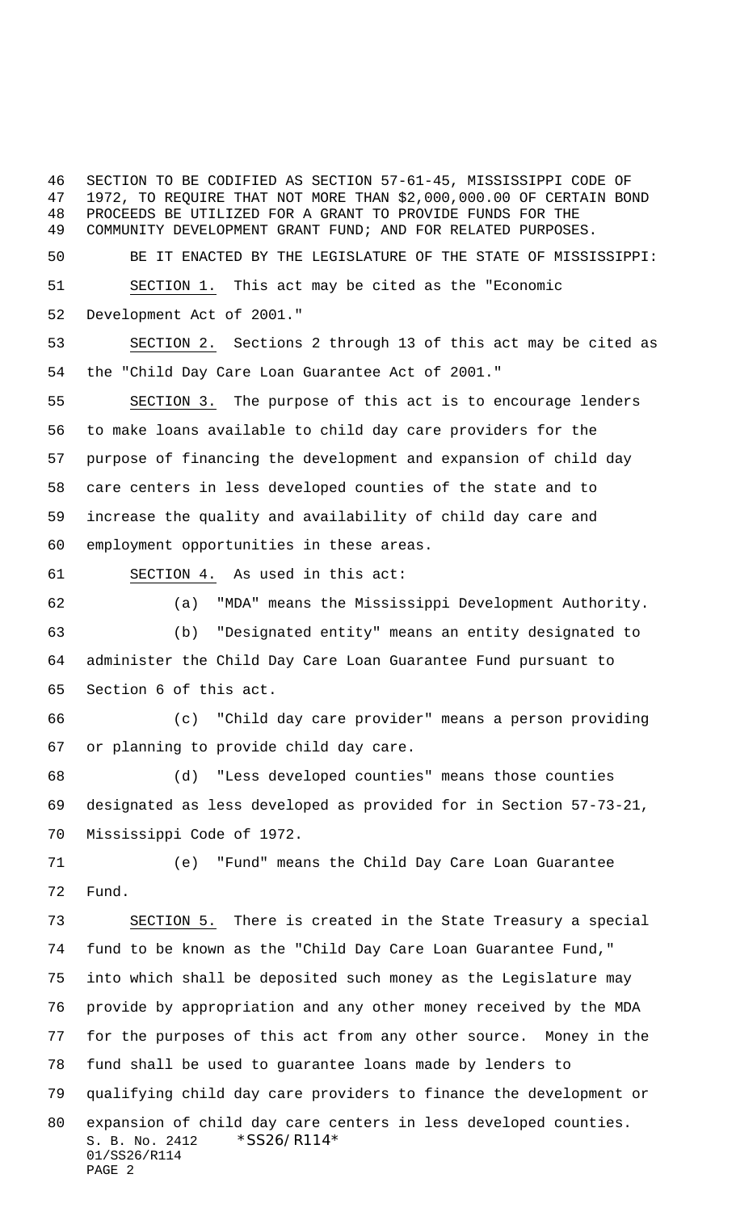SECTION TO BE CODIFIED AS SECTION 57-61-45, MISSISSIPPI CODE OF 1972, TO REQUIRE THAT NOT MORE THAN \$2,000,000.00 OF CERTAIN BOND PROCEEDS BE UTILIZED FOR A GRANT TO PROVIDE FUNDS FOR THE COMMUNITY DEVELOPMENT GRANT FUND; AND FOR RELATED PURPOSES.

 BE IT ENACTED BY THE LEGISLATURE OF THE STATE OF MISSISSIPPI: SECTION 1. This act may be cited as the "Economic

Development Act of 2001."

 SECTION 2. Sections 2 through 13 of this act may be cited as the "Child Day Care Loan Guarantee Act of 2001."

 SECTION 3. The purpose of this act is to encourage lenders to make loans available to child day care providers for the purpose of financing the development and expansion of child day care centers in less developed counties of the state and to increase the quality and availability of child day care and employment opportunities in these areas.

SECTION 4. As used in this act:

(a) "MDA" means the Mississippi Development Authority.

 (b) "Designated entity" means an entity designated to administer the Child Day Care Loan Guarantee Fund pursuant to Section 6 of this act.

 (c) "Child day care provider" means a person providing or planning to provide child day care.

 (d) "Less developed counties" means those counties designated as less developed as provided for in Section 57-73-21, Mississippi Code of 1972.

 (e) "Fund" means the Child Day Care Loan Guarantee Fund.

S. B. No. 2412 \* SS26/R114\* 01/SS26/R114 PAGE 2 SECTION 5. There is created in the State Treasury a special fund to be known as the "Child Day Care Loan Guarantee Fund," into which shall be deposited such money as the Legislature may provide by appropriation and any other money received by the MDA for the purposes of this act from any other source. Money in the fund shall be used to guarantee loans made by lenders to qualifying child day care providers to finance the development or expansion of child day care centers in less developed counties.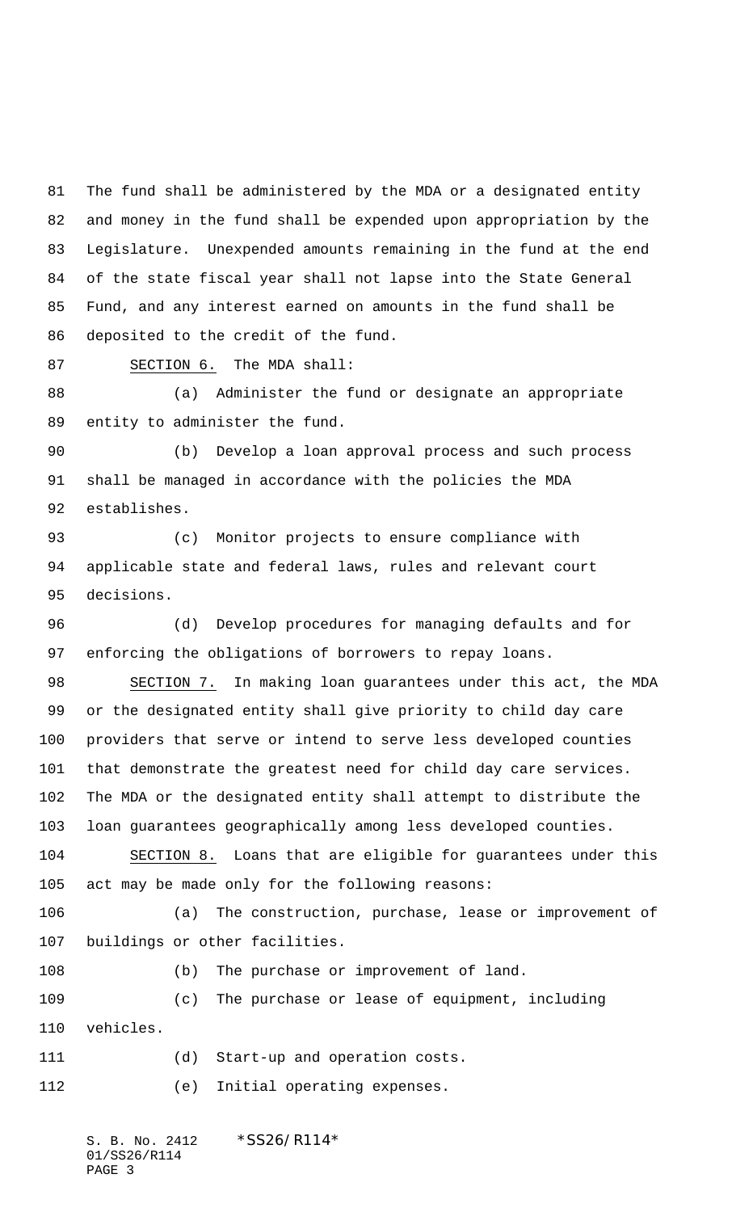The fund shall be administered by the MDA or a designated entity and money in the fund shall be expended upon appropriation by the Legislature. Unexpended amounts remaining in the fund at the end of the state fiscal year shall not lapse into the State General Fund, and any interest earned on amounts in the fund shall be deposited to the credit of the fund.

SECTION 6. The MDA shall:

 (a) Administer the fund or designate an appropriate entity to administer the fund.

 (b) Develop a loan approval process and such process shall be managed in accordance with the policies the MDA establishes.

 (c) Monitor projects to ensure compliance with applicable state and federal laws, rules and relevant court decisions.

 (d) Develop procedures for managing defaults and for enforcing the obligations of borrowers to repay loans.

 SECTION 7. In making loan guarantees under this act, the MDA or the designated entity shall give priority to child day care providers that serve or intend to serve less developed counties that demonstrate the greatest need for child day care services. The MDA or the designated entity shall attempt to distribute the loan guarantees geographically among less developed counties.

 SECTION 8. Loans that are eligible for guarantees under this act may be made only for the following reasons:

 (a) The construction, purchase, lease or improvement of buildings or other facilities.

108 (b) The purchase or improvement of land. (c) The purchase or lease of equipment, including vehicles.

(d) Start-up and operation costs.

(e) Initial operating expenses.

S. B. No. 2412 \* SS26/R114\* 01/SS26/R114 PAGE 3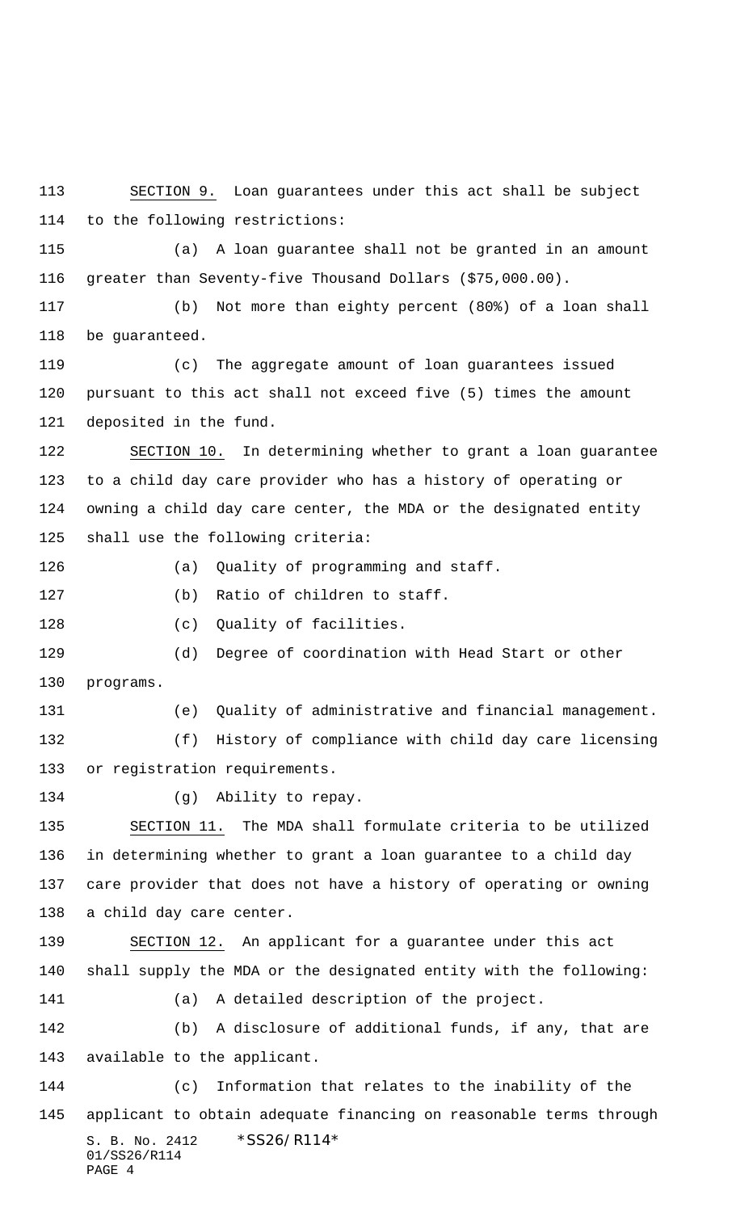S. B. No. 2412 \* SS26/R114\* 01/SS26/R114 to the following restrictions: (a) A loan guarantee shall not be granted in an amount greater than Seventy-five Thousand Dollars (\$75,000.00). (b) Not more than eighty percent (80%) of a loan shall be guaranteed. (c) The aggregate amount of loan guarantees issued pursuant to this act shall not exceed five (5) times the amount deposited in the fund. SECTION 10. In determining whether to grant a loan guarantee to a child day care provider who has a history of operating or owning a child day care center, the MDA or the designated entity shall use the following criteria: (a) Quality of programming and staff. (b) Ratio of children to staff. 128 (c) Quality of facilities. (d) Degree of coordination with Head Start or other programs. (e) Quality of administrative and financial management. (f) History of compliance with child day care licensing or registration requirements. (g) Ability to repay. SECTION 11. The MDA shall formulate criteria to be utilized in determining whether to grant a loan guarantee to a child day care provider that does not have a history of operating or owning a child day care center. SECTION 12. An applicant for a guarantee under this act shall supply the MDA or the designated entity with the following: (a) A detailed description of the project. (b) A disclosure of additional funds, if any, that are available to the applicant. (c) Information that relates to the inability of the applicant to obtain adequate financing on reasonable terms through

SECTION 9. Loan guarantees under this act shall be subject

PAGE 4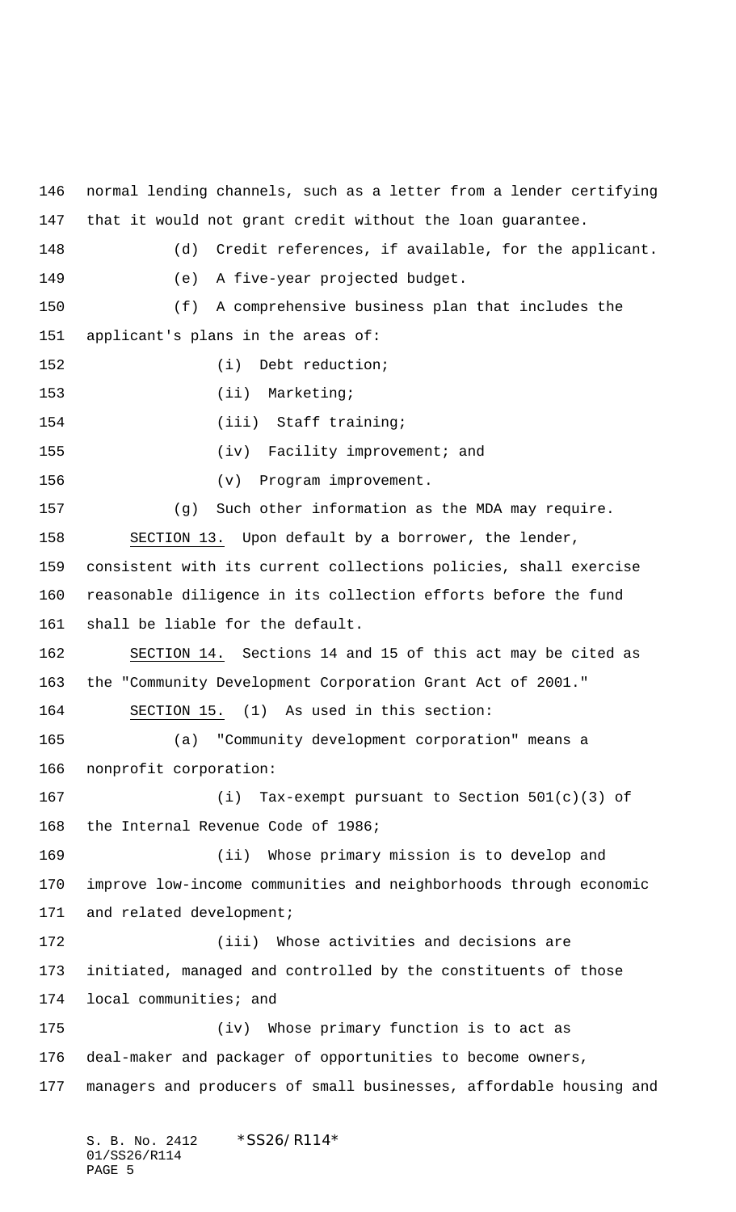normal lending channels, such as a letter from a lender certifying that it would not grant credit without the loan guarantee. (d) Credit references, if available, for the applicant. (e) A five-year projected budget. (f) A comprehensive business plan that includes the applicant's plans in the areas of: 152 (i) Debt reduction; 153 (ii) Marketing; 154 (iii) Staff training; (iv) Facility improvement; and (v) Program improvement. (g) Such other information as the MDA may require. SECTION 13. Upon default by a borrower, the lender, consistent with its current collections policies, shall exercise reasonable diligence in its collection efforts before the fund shall be liable for the default. SECTION 14. Sections 14 and 15 of this act may be cited as the "Community Development Corporation Grant Act of 2001." 164 SECTION 15. (1) As used in this section: (a) "Community development corporation" means a nonprofit corporation: (i) Tax-exempt pursuant to Section 501(c)(3) of the Internal Revenue Code of 1986; (ii) Whose primary mission is to develop and improve low-income communities and neighborhoods through economic 171 and related development; (iii) Whose activities and decisions are initiated, managed and controlled by the constituents of those local communities; and (iv) Whose primary function is to act as deal-maker and packager of opportunities to become owners, managers and producers of small businesses, affordable housing and

S. B. No. 2412 \*SS26/R114\* 01/SS26/R114 PAGE 5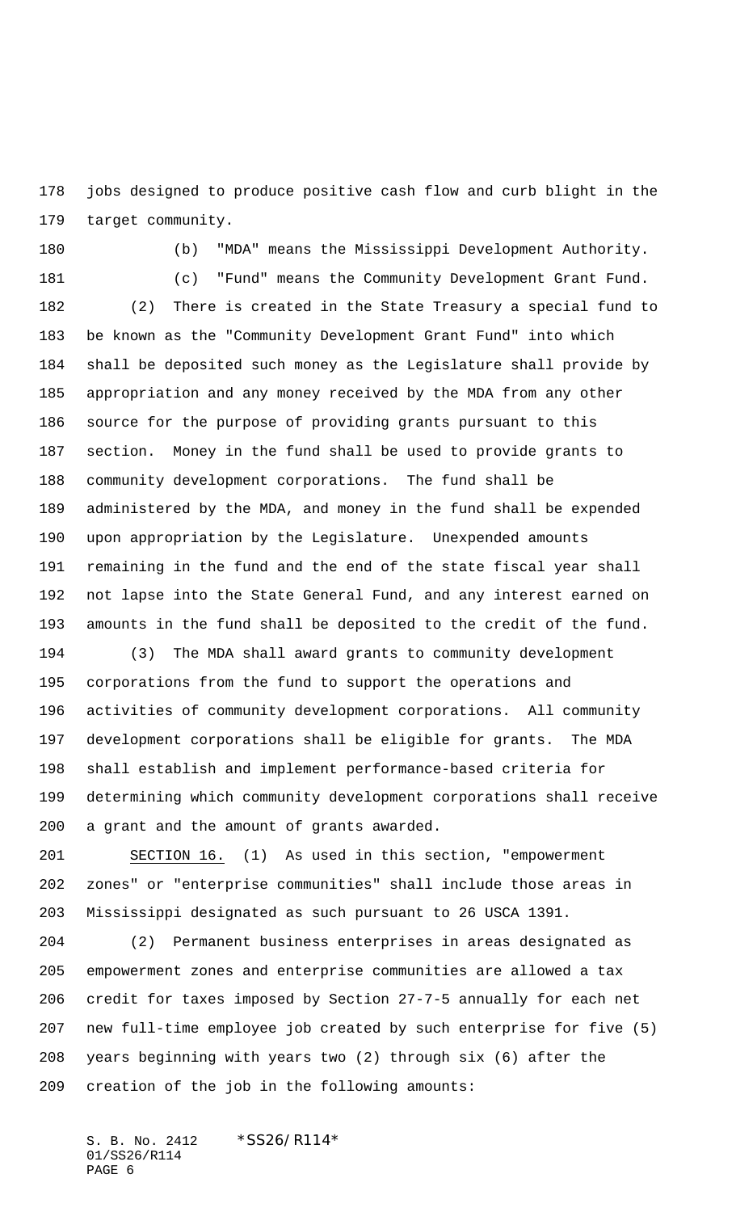jobs designed to produce positive cash flow and curb blight in the target community.

(c) "Fund" means the Community Development Grant Fund.

(b) "MDA" means the Mississippi Development Authority.

 (2) There is created in the State Treasury a special fund to be known as the "Community Development Grant Fund" into which shall be deposited such money as the Legislature shall provide by appropriation and any money received by the MDA from any other source for the purpose of providing grants pursuant to this section. Money in the fund shall be used to provide grants to community development corporations. The fund shall be administered by the MDA, and money in the fund shall be expended upon appropriation by the Legislature. Unexpended amounts remaining in the fund and the end of the state fiscal year shall not lapse into the State General Fund, and any interest earned on amounts in the fund shall be deposited to the credit of the fund.

 (3) The MDA shall award grants to community development corporations from the fund to support the operations and activities of community development corporations. All community development corporations shall be eligible for grants. The MDA shall establish and implement performance-based criteria for determining which community development corporations shall receive a grant and the amount of grants awarded.

 SECTION 16. (1) As used in this section, "empowerment zones" or "enterprise communities" shall include those areas in Mississippi designated as such pursuant to 26 USCA 1391.

 (2) Permanent business enterprises in areas designated as empowerment zones and enterprise communities are allowed a tax credit for taxes imposed by Section 27-7-5 annually for each net new full-time employee job created by such enterprise for five (5) years beginning with years two (2) through six (6) after the creation of the job in the following amounts:

S. B. No. 2412 \* SS26/R114\* 01/SS26/R114 PAGE 6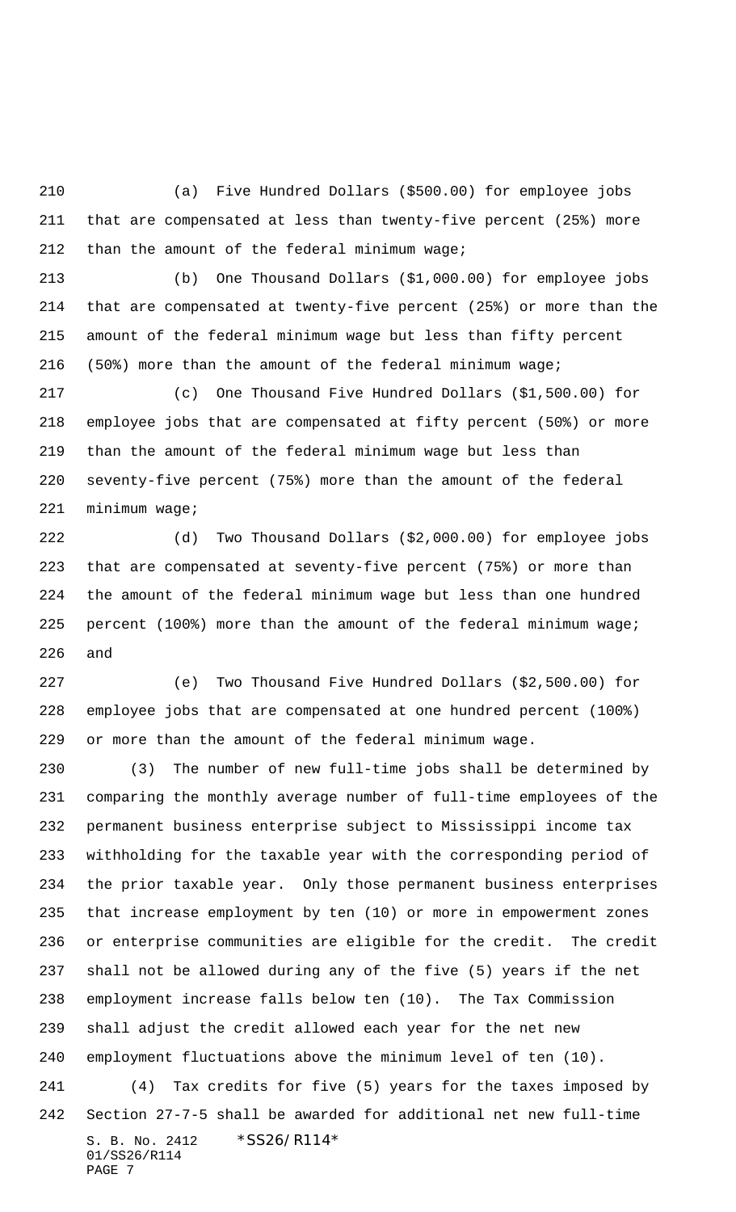(a) Five Hundred Dollars (\$500.00) for employee jobs that are compensated at less than twenty-five percent (25%) more 212 than the amount of the federal minimum wage;

 (b) One Thousand Dollars (\$1,000.00) for employee jobs that are compensated at twenty-five percent (25%) or more than the amount of the federal minimum wage but less than fifty percent (50%) more than the amount of the federal minimum wage;

 (c) One Thousand Five Hundred Dollars (\$1,500.00) for employee jobs that are compensated at fifty percent (50%) or more than the amount of the federal minimum wage but less than seventy-five percent (75%) more than the amount of the federal minimum wage;

 (d) Two Thousand Dollars (\$2,000.00) for employee jobs that are compensated at seventy-five percent (75%) or more than the amount of the federal minimum wage but less than one hundred percent (100%) more than the amount of the federal minimum wage; and

 (e) Two Thousand Five Hundred Dollars (\$2,500.00) for employee jobs that are compensated at one hundred percent (100%) or more than the amount of the federal minimum wage.

S. B. No. 2412 \* SS26/R114\* 01/SS26/R114 (3) The number of new full-time jobs shall be determined by comparing the monthly average number of full-time employees of the permanent business enterprise subject to Mississippi income tax withholding for the taxable year with the corresponding period of the prior taxable year. Only those permanent business enterprises that increase employment by ten (10) or more in empowerment zones or enterprise communities are eligible for the credit. The credit shall not be allowed during any of the five (5) years if the net employment increase falls below ten (10). The Tax Commission shall adjust the credit allowed each year for the net new employment fluctuations above the minimum level of ten (10). (4) Tax credits for five (5) years for the taxes imposed by Section 27-7-5 shall be awarded for additional net new full-time

PAGE 7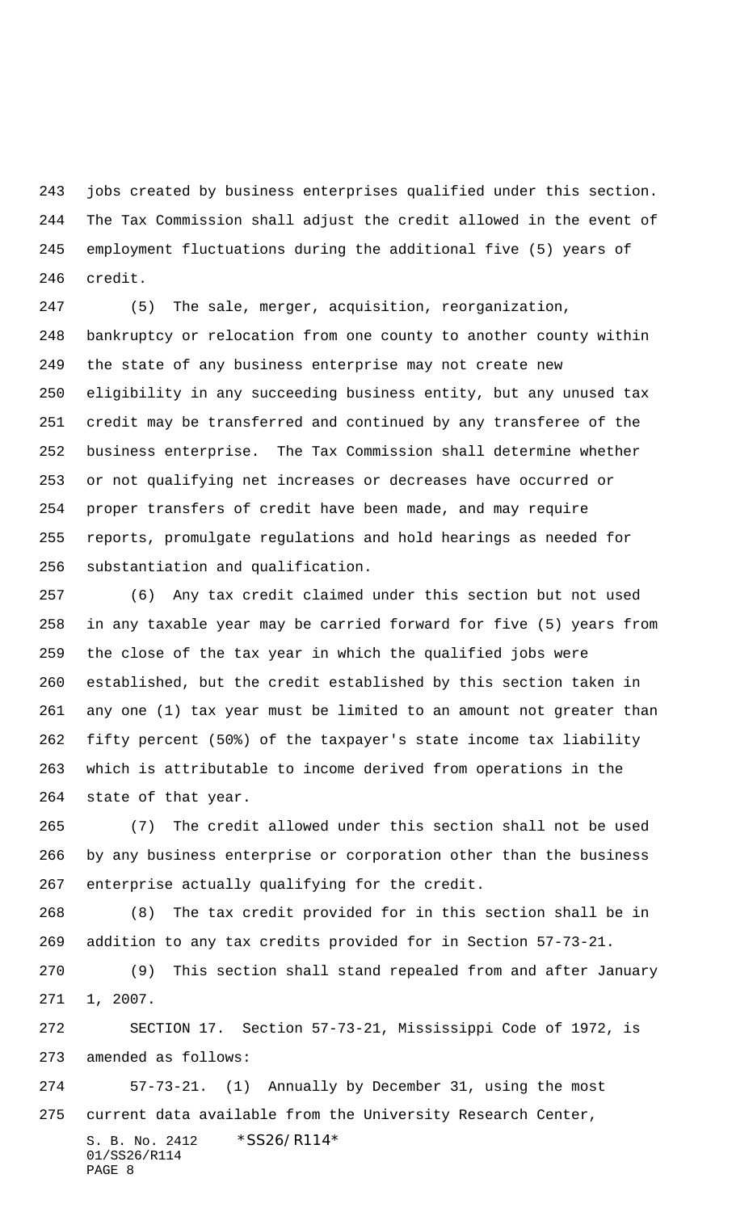jobs created by business enterprises qualified under this section. The Tax Commission shall adjust the credit allowed in the event of employment fluctuations during the additional five (5) years of credit.

 (5) The sale, merger, acquisition, reorganization, bankruptcy or relocation from one county to another county within the state of any business enterprise may not create new eligibility in any succeeding business entity, but any unused tax credit may be transferred and continued by any transferee of the business enterprise. The Tax Commission shall determine whether or not qualifying net increases or decreases have occurred or proper transfers of credit have been made, and may require reports, promulgate regulations and hold hearings as needed for substantiation and qualification.

 (6) Any tax credit claimed under this section but not used in any taxable year may be carried forward for five (5) years from the close of the tax year in which the qualified jobs were established, but the credit established by this section taken in any one (1) tax year must be limited to an amount not greater than fifty percent (50%) of the taxpayer's state income tax liability which is attributable to income derived from operations in the state of that year.

 (7) The credit allowed under this section shall not be used by any business enterprise or corporation other than the business enterprise actually qualifying for the credit.

 (8) The tax credit provided for in this section shall be in addition to any tax credits provided for in Section 57-73-21.

 (9) This section shall stand repealed from and after January 1, 2007.

 SECTION 17. Section 57-73-21, Mississippi Code of 1972, is amended as follows:

S. B. No. 2412 \*SS26/R114\* 01/SS26/R114 57-73-21. (1) Annually by December 31, using the most current data available from the University Research Center,

```
PAGE 8
```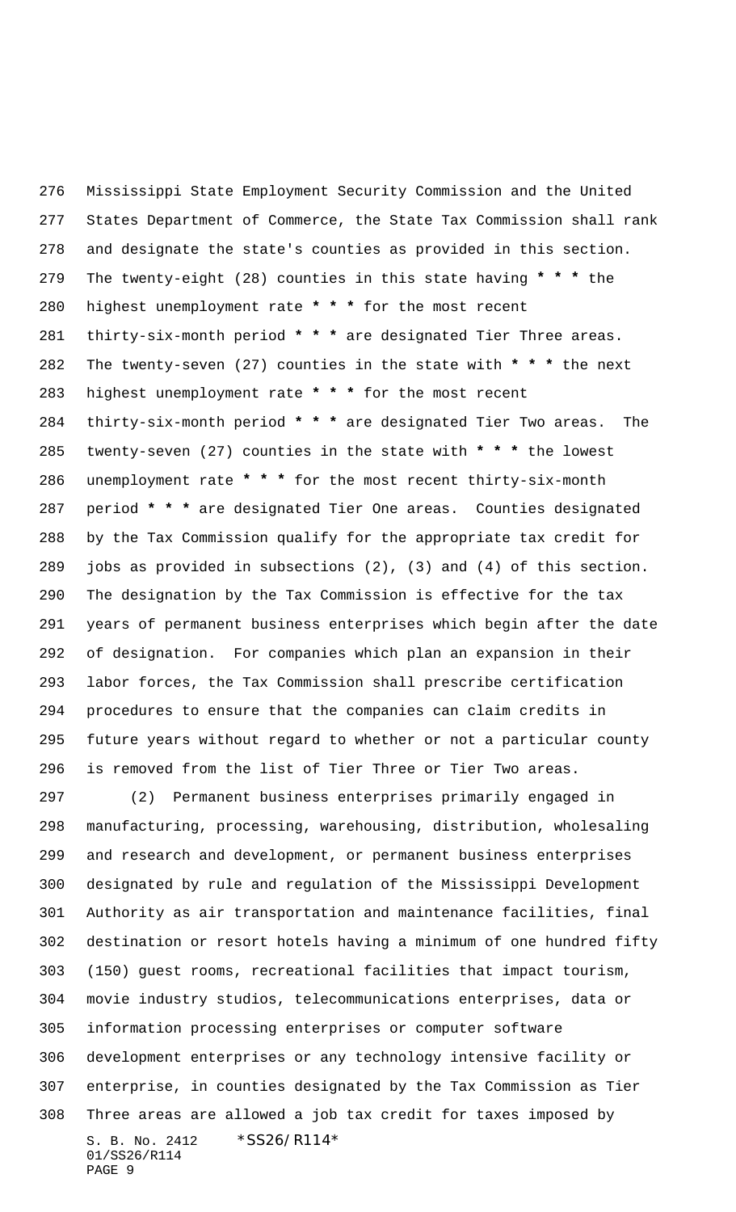Mississippi State Employment Security Commission and the United States Department of Commerce, the State Tax Commission shall rank and designate the state's counties as provided in this section. The twenty-eight (28) counties in this state having **\* \* \*** the highest unemployment rate **\* \* \*** for the most recent thirty-six-month period **\* \* \*** are designated Tier Three areas. The twenty-seven (27) counties in the state with **\* \* \*** the next highest unemployment rate **\* \* \*** for the most recent thirty-six-month period **\* \* \*** are designated Tier Two areas. The twenty-seven (27) counties in the state with **\* \* \*** the lowest unemployment rate **\* \* \*** for the most recent thirty-six-month period **\* \* \*** are designated Tier One areas. Counties designated by the Tax Commission qualify for the appropriate tax credit for jobs as provided in subsections (2), (3) and (4) of this section. The designation by the Tax Commission is effective for the tax years of permanent business enterprises which begin after the date of designation. For companies which plan an expansion in their labor forces, the Tax Commission shall prescribe certification procedures to ensure that the companies can claim credits in future years without regard to whether or not a particular county is removed from the list of Tier Three or Tier Two areas.

S. B. No. 2412 \*SS26/R114\* 01/SS26/R114 PAGE 9 (2) Permanent business enterprises primarily engaged in manufacturing, processing, warehousing, distribution, wholesaling and research and development, or permanent business enterprises designated by rule and regulation of the Mississippi Development Authority as air transportation and maintenance facilities, final destination or resort hotels having a minimum of one hundred fifty (150) guest rooms, recreational facilities that impact tourism, movie industry studios, telecommunications enterprises, data or information processing enterprises or computer software development enterprises or any technology intensive facility or enterprise, in counties designated by the Tax Commission as Tier Three areas are allowed a job tax credit for taxes imposed by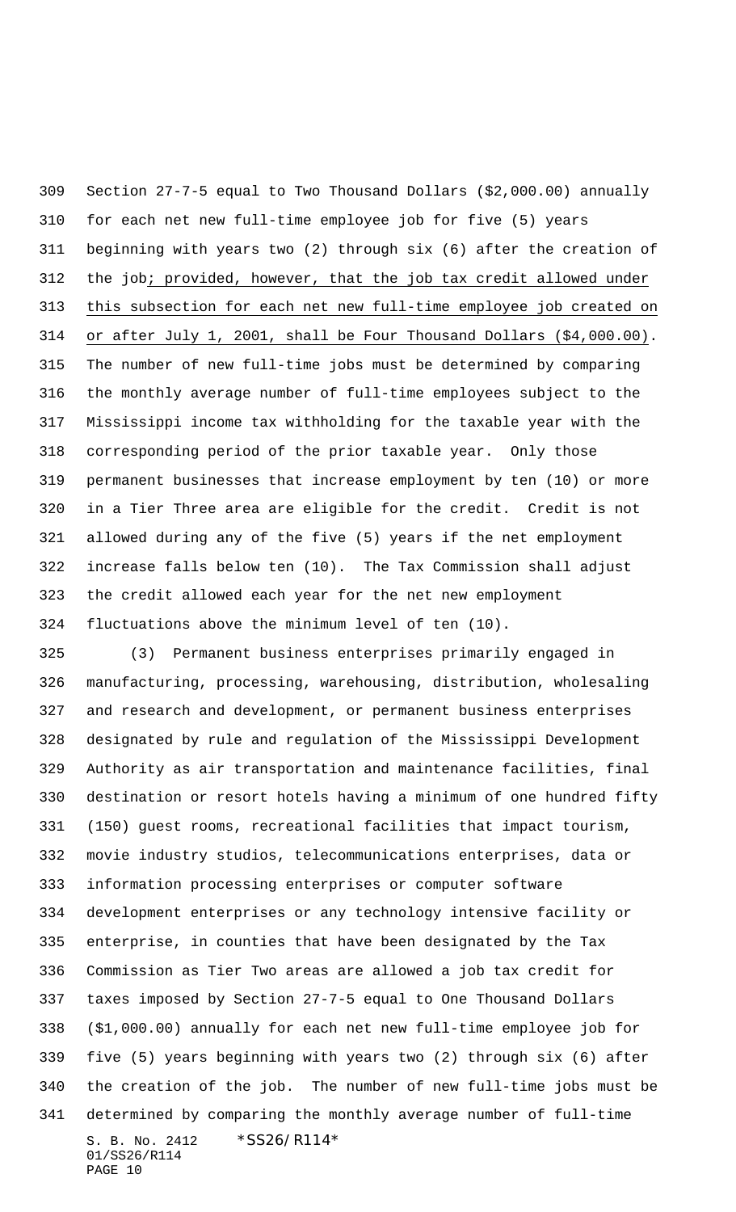Section 27-7-5 equal to Two Thousand Dollars (\$2,000.00) annually for each net new full-time employee job for five (5) years beginning with years two (2) through six (6) after the creation of 312 the job; provided, however, that the job tax credit allowed under this subsection for each net new full-time employee job created on or after July 1, 2001, shall be Four Thousand Dollars (\$4,000.00). The number of new full-time jobs must be determined by comparing the monthly average number of full-time employees subject to the Mississippi income tax withholding for the taxable year with the corresponding period of the prior taxable year. Only those permanent businesses that increase employment by ten (10) or more in a Tier Three area are eligible for the credit. Credit is not allowed during any of the five (5) years if the net employment increase falls below ten (10). The Tax Commission shall adjust the credit allowed each year for the net new employment fluctuations above the minimum level of ten (10).

S. B. No. 2412 \* SS26/R114\* 01/SS26/R114 (3) Permanent business enterprises primarily engaged in manufacturing, processing, warehousing, distribution, wholesaling and research and development, or permanent business enterprises designated by rule and regulation of the Mississippi Development Authority as air transportation and maintenance facilities, final destination or resort hotels having a minimum of one hundred fifty (150) guest rooms, recreational facilities that impact tourism, movie industry studios, telecommunications enterprises, data or information processing enterprises or computer software development enterprises or any technology intensive facility or enterprise, in counties that have been designated by the Tax Commission as Tier Two areas are allowed a job tax credit for taxes imposed by Section 27-7-5 equal to One Thousand Dollars (\$1,000.00) annually for each net new full-time employee job for five (5) years beginning with years two (2) through six (6) after the creation of the job. The number of new full-time jobs must be determined by comparing the monthly average number of full-time

PAGE 10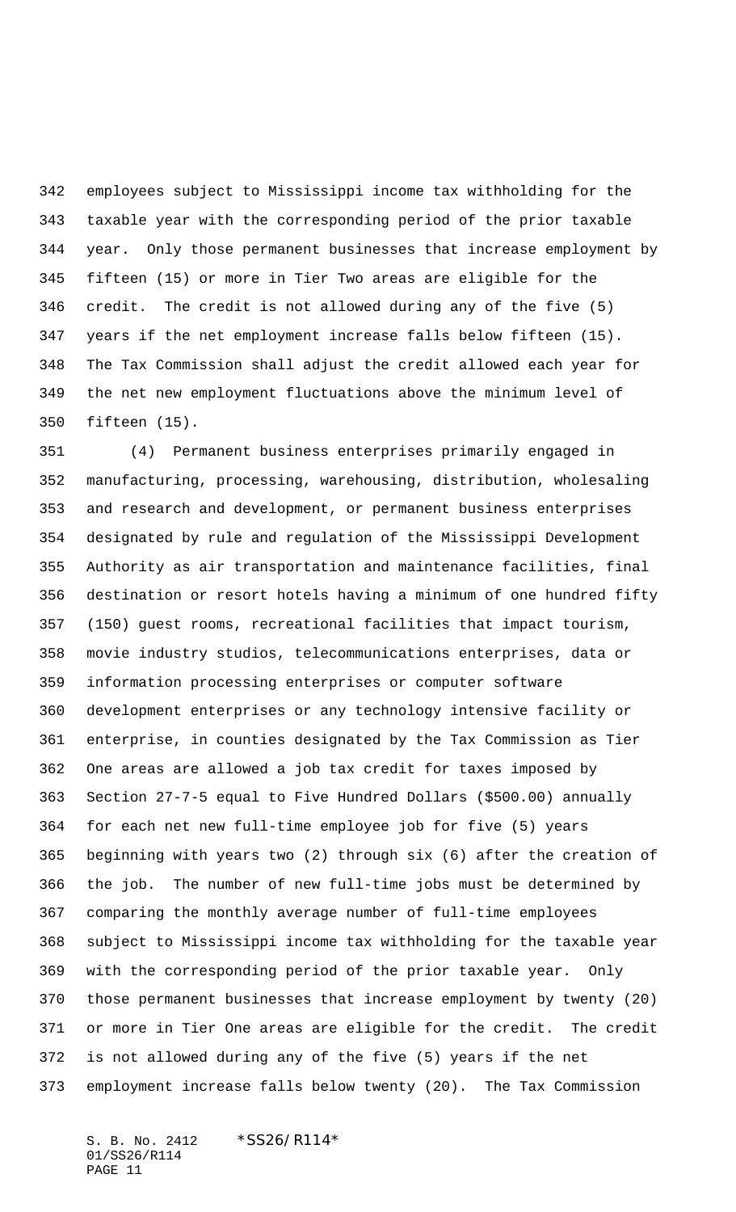employees subject to Mississippi income tax withholding for the taxable year with the corresponding period of the prior taxable year. Only those permanent businesses that increase employment by fifteen (15) or more in Tier Two areas are eligible for the credit. The credit is not allowed during any of the five (5) years if the net employment increase falls below fifteen (15). The Tax Commission shall adjust the credit allowed each year for the net new employment fluctuations above the minimum level of fifteen (15).

 (4) Permanent business enterprises primarily engaged in manufacturing, processing, warehousing, distribution, wholesaling and research and development, or permanent business enterprises designated by rule and regulation of the Mississippi Development Authority as air transportation and maintenance facilities, final destination or resort hotels having a minimum of one hundred fifty (150) guest rooms, recreational facilities that impact tourism, movie industry studios, telecommunications enterprises, data or information processing enterprises or computer software development enterprises or any technology intensive facility or enterprise, in counties designated by the Tax Commission as Tier One areas are allowed a job tax credit for taxes imposed by Section 27-7-5 equal to Five Hundred Dollars (\$500.00) annually for each net new full-time employee job for five (5) years beginning with years two (2) through six (6) after the creation of the job. The number of new full-time jobs must be determined by comparing the monthly average number of full-time employees subject to Mississippi income tax withholding for the taxable year with the corresponding period of the prior taxable year. Only those permanent businesses that increase employment by twenty (20) or more in Tier One areas are eligible for the credit. The credit is not allowed during any of the five (5) years if the net employment increase falls below twenty (20). The Tax Commission

S. B. No. 2412 \*SS26/R114\* 01/SS26/R114 PAGE 11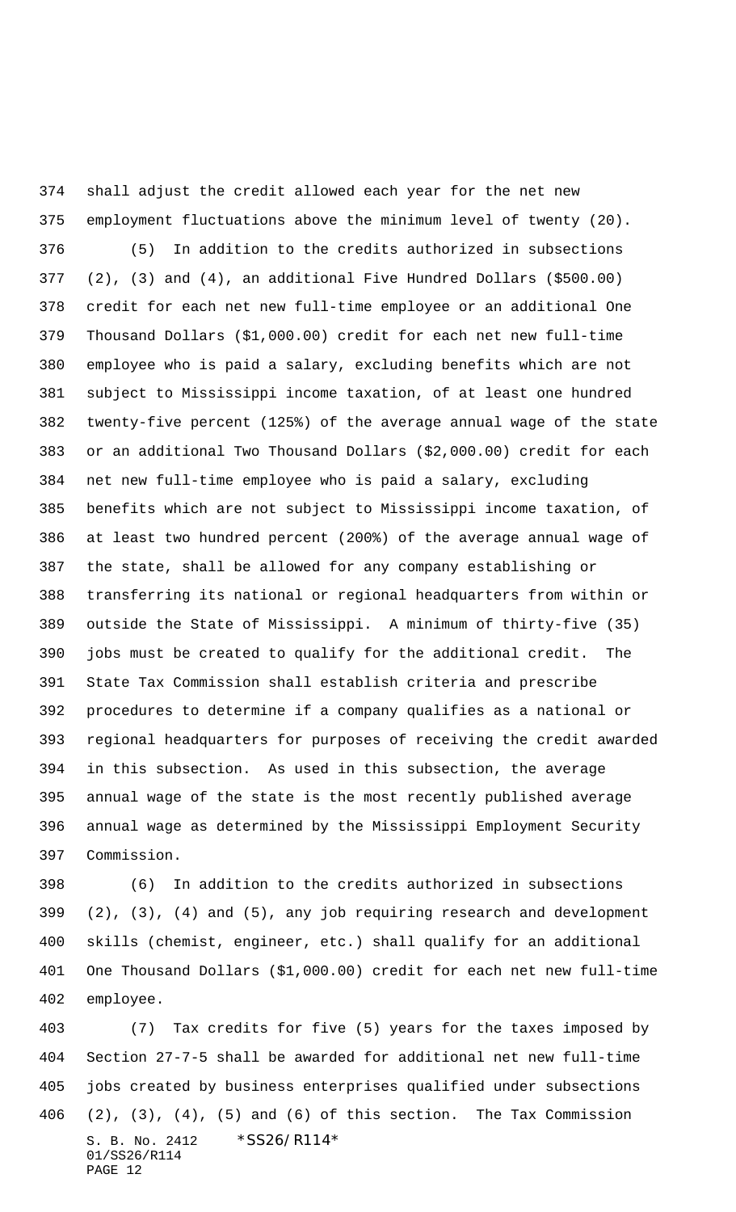shall adjust the credit allowed each year for the net new employment fluctuations above the minimum level of twenty (20). (5) In addition to the credits authorized in subsections (2), (3) and (4), an additional Five Hundred Dollars (\$500.00) credit for each net new full-time employee or an additional One Thousand Dollars (\$1,000.00) credit for each net new full-time employee who is paid a salary, excluding benefits which are not subject to Mississippi income taxation, of at least one hundred twenty-five percent (125%) of the average annual wage of the state or an additional Two Thousand Dollars (\$2,000.00) credit for each net new full-time employee who is paid a salary, excluding benefits which are not subject to Mississippi income taxation, of at least two hundred percent (200%) of the average annual wage of the state, shall be allowed for any company establishing or transferring its national or regional headquarters from within or outside the State of Mississippi. A minimum of thirty-five (35) jobs must be created to qualify for the additional credit. The State Tax Commission shall establish criteria and prescribe procedures to determine if a company qualifies as a national or regional headquarters for purposes of receiving the credit awarded in this subsection. As used in this subsection, the average annual wage of the state is the most recently published average annual wage as determined by the Mississippi Employment Security Commission.

 (6) In addition to the credits authorized in subsections (2), (3), (4) and (5), any job requiring research and development skills (chemist, engineer, etc.) shall qualify for an additional One Thousand Dollars (\$1,000.00) credit for each net new full-time employee.

S. B. No. 2412 \* SS26/R114\* 01/SS26/R114 PAGE 12 (7) Tax credits for five (5) years for the taxes imposed by Section 27-7-5 shall be awarded for additional net new full-time jobs created by business enterprises qualified under subsections (2), (3), (4), (5) and (6) of this section. The Tax Commission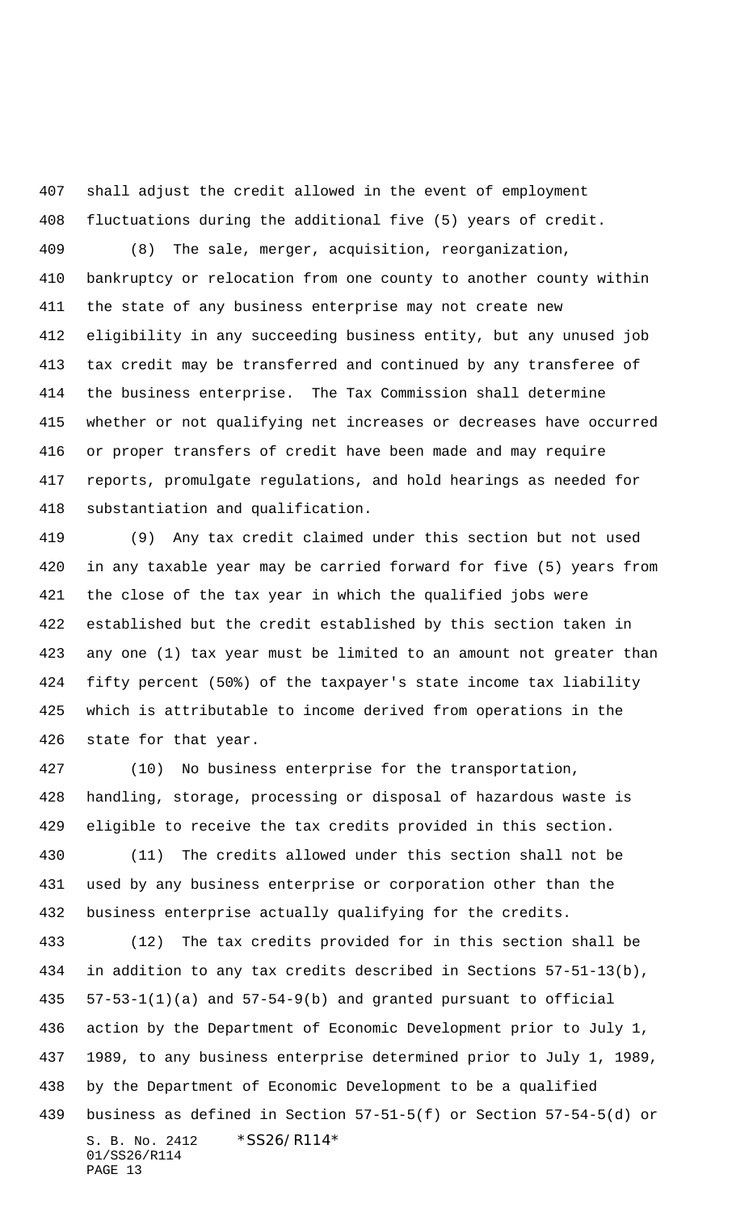shall adjust the credit allowed in the event of employment fluctuations during the additional five (5) years of credit.

 (8) The sale, merger, acquisition, reorganization, bankruptcy or relocation from one county to another county within the state of any business enterprise may not create new eligibility in any succeeding business entity, but any unused job tax credit may be transferred and continued by any transferee of the business enterprise. The Tax Commission shall determine whether or not qualifying net increases or decreases have occurred or proper transfers of credit have been made and may require reports, promulgate regulations, and hold hearings as needed for substantiation and qualification.

 (9) Any tax credit claimed under this section but not used in any taxable year may be carried forward for five (5) years from the close of the tax year in which the qualified jobs were established but the credit established by this section taken in any one (1) tax year must be limited to an amount not greater than fifty percent (50%) of the taxpayer's state income tax liability which is attributable to income derived from operations in the state for that year.

 (10) No business enterprise for the transportation, handling, storage, processing or disposal of hazardous waste is eligible to receive the tax credits provided in this section. (11) The credits allowed under this section shall not be used by any business enterprise or corporation other than the business enterprise actually qualifying for the credits.

S. B. No. 2412 \* SS26/R114\* 01/SS26/R114 PAGE 13 (12) The tax credits provided for in this section shall be in addition to any tax credits described in Sections 57-51-13(b), 57-53-1(1)(a) and 57-54-9(b) and granted pursuant to official action by the Department of Economic Development prior to July 1, 1989, to any business enterprise determined prior to July 1, 1989, by the Department of Economic Development to be a qualified business as defined in Section 57-51-5(f) or Section 57-54-5(d) or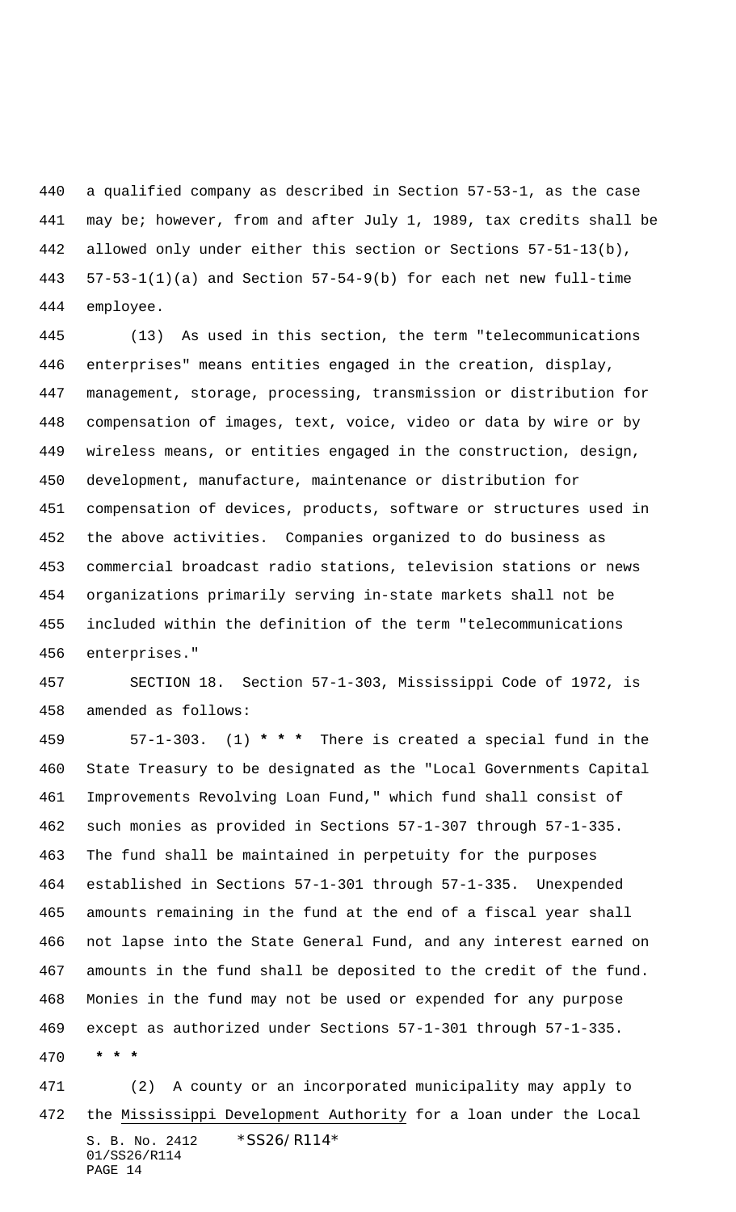a qualified company as described in Section 57-53-1, as the case may be; however, from and after July 1, 1989, tax credits shall be allowed only under either this section or Sections 57-51-13(b), 57-53-1(1)(a) and Section 57-54-9(b) for each net new full-time employee.

 (13) As used in this section, the term "telecommunications enterprises" means entities engaged in the creation, display, management, storage, processing, transmission or distribution for compensation of images, text, voice, video or data by wire or by wireless means, or entities engaged in the construction, design, development, manufacture, maintenance or distribution for compensation of devices, products, software or structures used in the above activities. Companies organized to do business as commercial broadcast radio stations, television stations or news organizations primarily serving in-state markets shall not be included within the definition of the term "telecommunications enterprises."

 SECTION 18. Section 57-1-303, Mississippi Code of 1972, is amended as follows:

 57-1-303. (1) **\* \* \*** There is created a special fund in the State Treasury to be designated as the "Local Governments Capital Improvements Revolving Loan Fund," which fund shall consist of such monies as provided in Sections 57-1-307 through 57-1-335. The fund shall be maintained in perpetuity for the purposes established in Sections 57-1-301 through 57-1-335. Unexpended amounts remaining in the fund at the end of a fiscal year shall not lapse into the State General Fund, and any interest earned on amounts in the fund shall be deposited to the credit of the fund. Monies in the fund may not be used or expended for any purpose except as authorized under Sections 57-1-301 through 57-1-335.  **\* \* \***

S. B. No. 2412 \* SS26/R114\* 01/SS26/R114 PAGE 14 (2) A county or an incorporated municipality may apply to the Mississippi Development Authority for a loan under the Local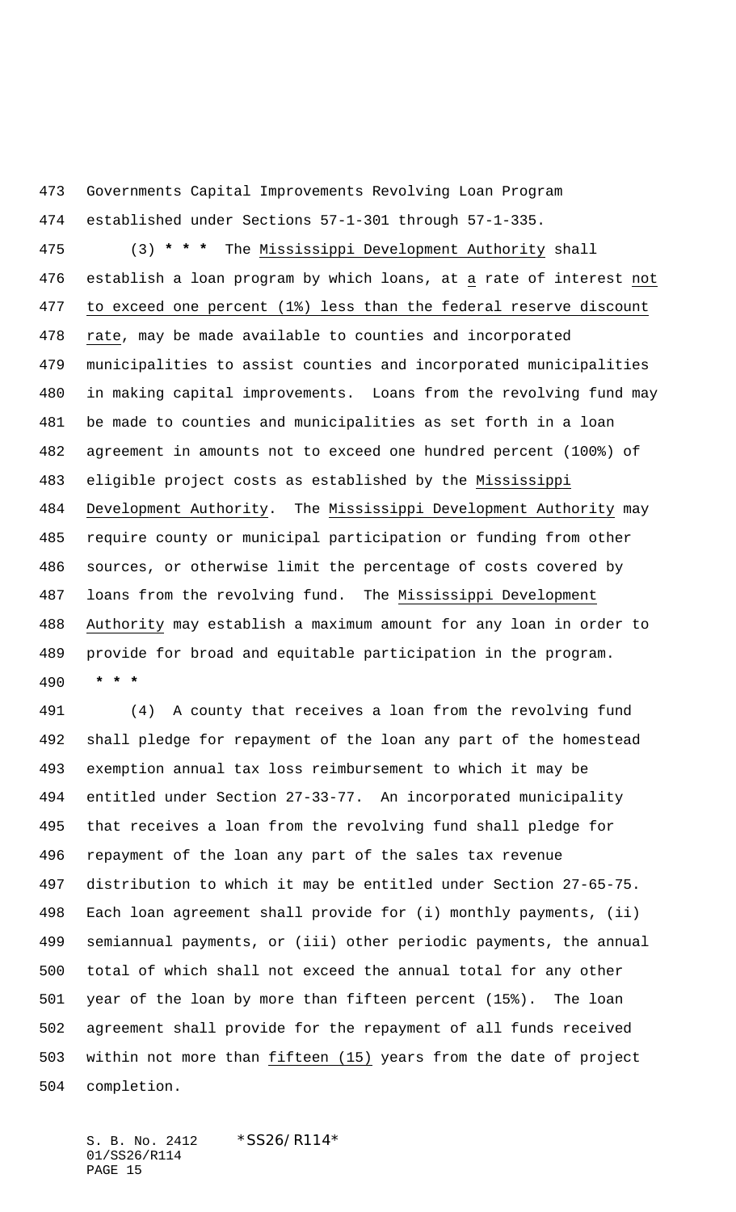Governments Capital Improvements Revolving Loan Program

established under Sections 57-1-301 through 57-1-335.

 (3) **\* \* \*** The Mississippi Development Authority shall establish a loan program by which loans, at a rate of interest not to exceed one percent (1%) less than the federal reserve discount rate, may be made available to counties and incorporated municipalities to assist counties and incorporated municipalities in making capital improvements. Loans from the revolving fund may be made to counties and municipalities as set forth in a loan agreement in amounts not to exceed one hundred percent (100%) of eligible project costs as established by the Mississippi Development Authority. The Mississippi Development Authority may require county or municipal participation or funding from other sources, or otherwise limit the percentage of costs covered by loans from the revolving fund. The Mississippi Development Authority may establish a maximum amount for any loan in order to provide for broad and equitable participation in the program.  **\* \* \***

 (4) A county that receives a loan from the revolving fund shall pledge for repayment of the loan any part of the homestead exemption annual tax loss reimbursement to which it may be entitled under Section 27-33-77. An incorporated municipality that receives a loan from the revolving fund shall pledge for repayment of the loan any part of the sales tax revenue distribution to which it may be entitled under Section 27-65-75. Each loan agreement shall provide for (i) monthly payments, (ii) semiannual payments, or (iii) other periodic payments, the annual total of which shall not exceed the annual total for any other year of the loan by more than fifteen percent (15%). The loan agreement shall provide for the repayment of all funds received within not more than fifteen (15) years from the date of project completion.

S. B. No. 2412 \*SS26/R114\* 01/SS26/R114 PAGE 15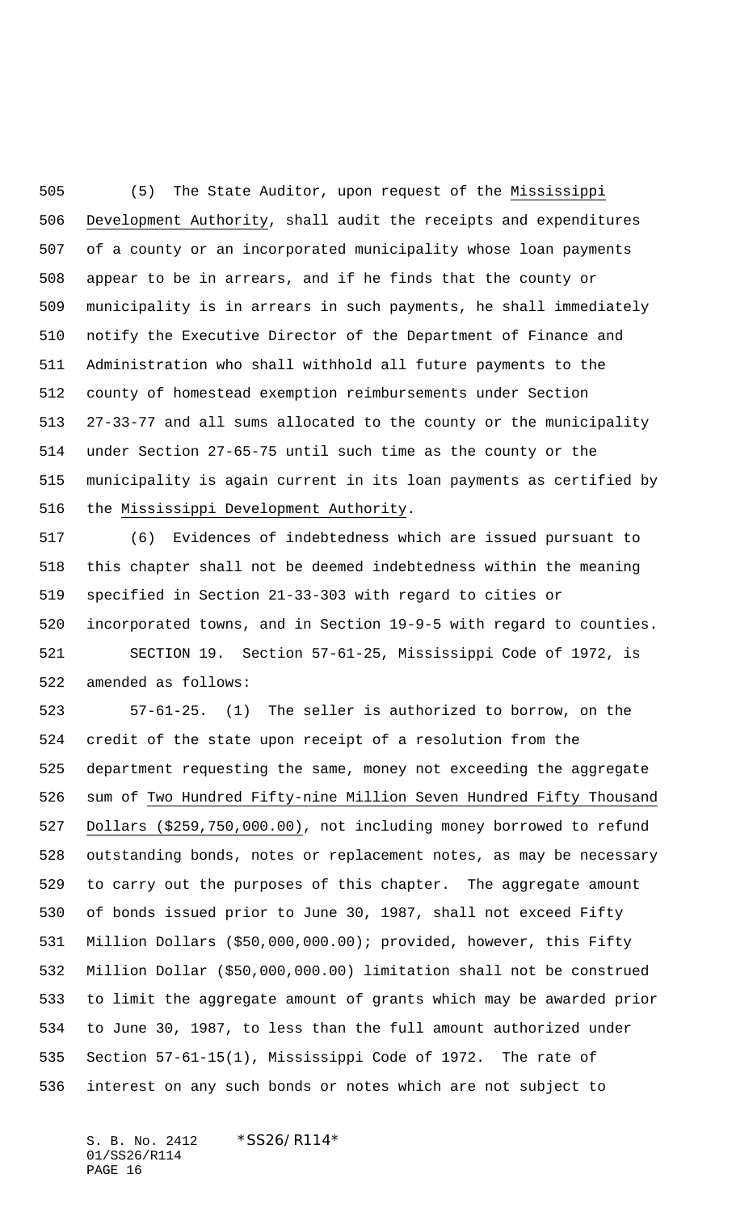(5) The State Auditor, upon request of the Mississippi Development Authority, shall audit the receipts and expenditures of a county or an incorporated municipality whose loan payments appear to be in arrears, and if he finds that the county or municipality is in arrears in such payments, he shall immediately notify the Executive Director of the Department of Finance and Administration who shall withhold all future payments to the county of homestead exemption reimbursements under Section 27-33-77 and all sums allocated to the county or the municipality under Section 27-65-75 until such time as the county or the municipality is again current in its loan payments as certified by the Mississippi Development Authority.

 (6) Evidences of indebtedness which are issued pursuant to this chapter shall not be deemed indebtedness within the meaning specified in Section 21-33-303 with regard to cities or incorporated towns, and in Section 19-9-5 with regard to counties. SECTION 19. Section 57-61-25, Mississippi Code of 1972, is amended as follows:

 57-61-25. (1) The seller is authorized to borrow, on the credit of the state upon receipt of a resolution from the department requesting the same, money not exceeding the aggregate sum of Two Hundred Fifty-nine Million Seven Hundred Fifty Thousand Dollars (\$259,750,000.00), not including money borrowed to refund outstanding bonds, notes or replacement notes, as may be necessary to carry out the purposes of this chapter. The aggregate amount of bonds issued prior to June 30, 1987, shall not exceed Fifty Million Dollars (\$50,000,000.00); provided, however, this Fifty Million Dollar (\$50,000,000.00) limitation shall not be construed to limit the aggregate amount of grants which may be awarded prior to June 30, 1987, to less than the full amount authorized under Section 57-61-15(1), Mississippi Code of 1972. The rate of interest on any such bonds or notes which are not subject to

S. B. No. 2412 \*SS26/R114\* 01/SS26/R114 PAGE 16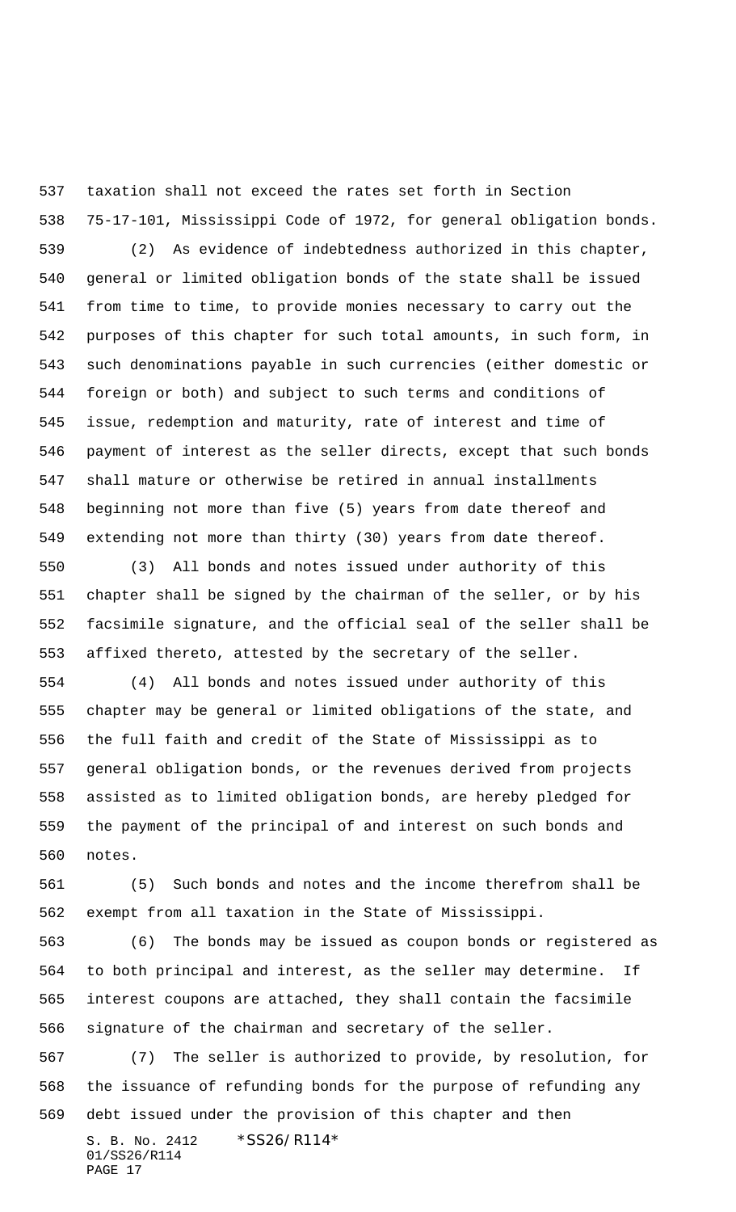taxation shall not exceed the rates set forth in Section

 75-17-101, Mississippi Code of 1972, for general obligation bonds. (2) As evidence of indebtedness authorized in this chapter, general or limited obligation bonds of the state shall be issued from time to time, to provide monies necessary to carry out the purposes of this chapter for such total amounts, in such form, in such denominations payable in such currencies (either domestic or foreign or both) and subject to such terms and conditions of issue, redemption and maturity, rate of interest and time of payment of interest as the seller directs, except that such bonds shall mature or otherwise be retired in annual installments beginning not more than five (5) years from date thereof and extending not more than thirty (30) years from date thereof.

 (3) All bonds and notes issued under authority of this chapter shall be signed by the chairman of the seller, or by his facsimile signature, and the official seal of the seller shall be affixed thereto, attested by the secretary of the seller.

 (4) All bonds and notes issued under authority of this chapter may be general or limited obligations of the state, and the full faith and credit of the State of Mississippi as to general obligation bonds, or the revenues derived from projects assisted as to limited obligation bonds, are hereby pledged for the payment of the principal of and interest on such bonds and notes.

 (5) Such bonds and notes and the income therefrom shall be exempt from all taxation in the State of Mississippi.

 (6) The bonds may be issued as coupon bonds or registered as to both principal and interest, as the seller may determine. If interest coupons are attached, they shall contain the facsimile signature of the chairman and secretary of the seller.

 (7) The seller is authorized to provide, by resolution, for the issuance of refunding bonds for the purpose of refunding any debt issued under the provision of this chapter and then

S. B. No. 2412 \* SS26/R114\* 01/SS26/R114 PAGE 17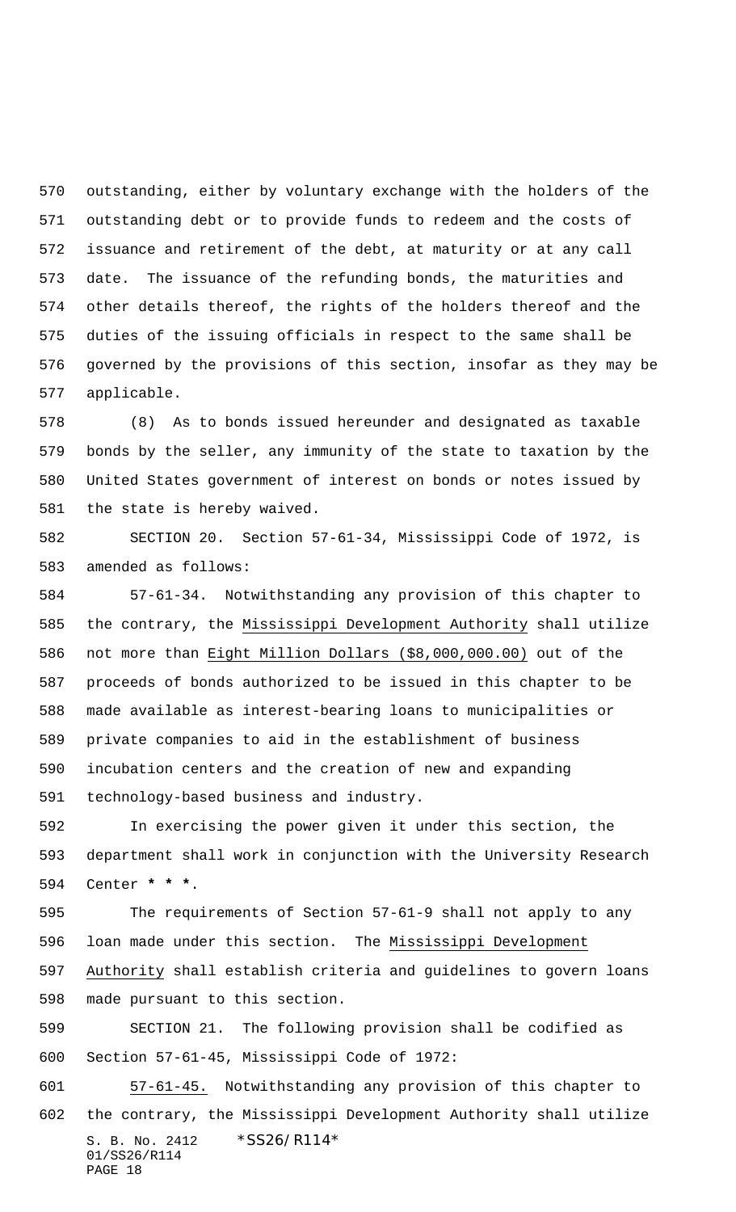outstanding, either by voluntary exchange with the holders of the outstanding debt or to provide funds to redeem and the costs of issuance and retirement of the debt, at maturity or at any call date. The issuance of the refunding bonds, the maturities and other details thereof, the rights of the holders thereof and the duties of the issuing officials in respect to the same shall be governed by the provisions of this section, insofar as they may be applicable.

 (8) As to bonds issued hereunder and designated as taxable bonds by the seller, any immunity of the state to taxation by the United States government of interest on bonds or notes issued by the state is hereby waived.

 SECTION 20. Section 57-61-34, Mississippi Code of 1972, is amended as follows:

 57-61-34. Notwithstanding any provision of this chapter to the contrary, the Mississippi Development Authority shall utilize not more than Eight Million Dollars (\$8,000,000.00) out of the proceeds of bonds authorized to be issued in this chapter to be made available as interest-bearing loans to municipalities or private companies to aid in the establishment of business incubation centers and the creation of new and expanding technology-based business and industry.

 In exercising the power given it under this section, the department shall work in conjunction with the University Research Center **\* \* \***.

 The requirements of Section 57-61-9 shall not apply to any loan made under this section. The Mississippi Development Authority shall establish criteria and guidelines to govern loans made pursuant to this section.

 SECTION 21. The following provision shall be codified as Section 57-61-45, Mississippi Code of 1972:

S. B. No. 2412 \*SS26/R114\* 01/SS26/R114 PAGE 18 57-61-45. Notwithstanding any provision of this chapter to the contrary, the Mississippi Development Authority shall utilize